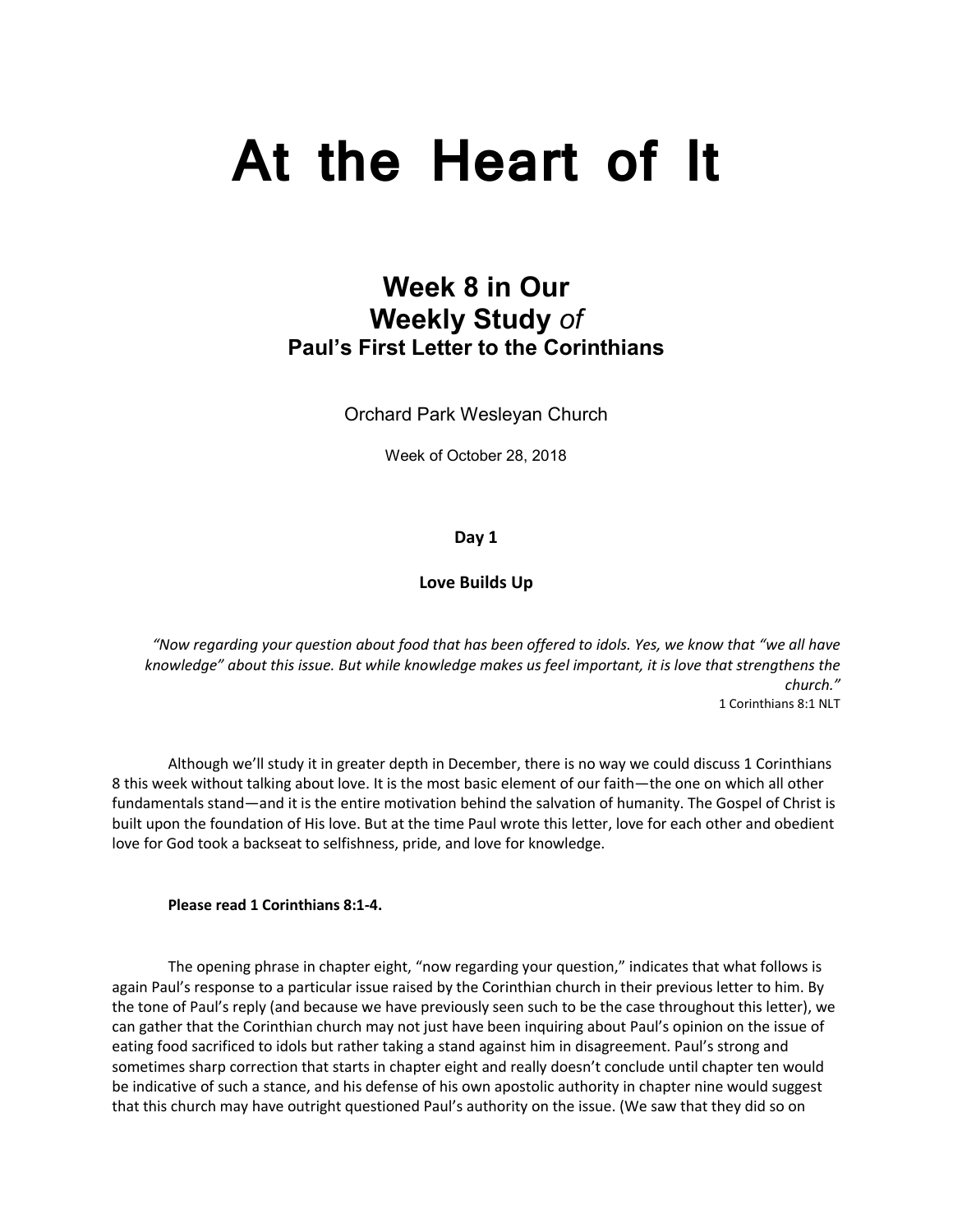# **At the Heart of It**

# **Week 8 in Our Weekly Study** *of* **Paul's First Letter to the Corinthians**

Orchard Park Wesleyan Church

Week of October 28, 2018

**Day 1**

#### **Love Builds Up**

*"Now regarding your question about food that has been offered to idols. Yes, we know that "we all have knowledge" about this issue. But while knowledge makes us feel important, it is love that strengthens the church."* 1 Corinthians 8:1 NLT

 Although we'll study it in greater depth in December, there is no way we could discuss 1 Corinthians 8 this week without talking about love. It is the most basic element of our faith—the one on which all other fundamentals stand—and it is the entire motivation behind the salvation of humanity. The Gospel of Christ is built upon the foundation of His love. But at the time Paul wrote this letter, love for each other and obedient love for God took a backseat to selfishness, pride, and love for knowledge.

#### **Please read 1 Corinthians 8:1-4.**

 The opening phrase in chapter eight, "now regarding your question," indicates that what follows is again Paul's response to a particular issue raised by the Corinthian church in their previous letter to him. By the tone of Paul's reply (and because we have previously seen such to be the case throughout this letter), we can gather that the Corinthian church may not just have been inquiring about Paul's opinion on the issue of eating food sacrificed to idols but rather taking a stand against him in disagreement. Paul's strong and sometimes sharp correction that starts in chapter eight and really doesn't conclude until chapter ten would be indicative of such a stance, and his defense of his own apostolic authority in chapter nine would suggest that this church may have outright questioned Paul's authority on the issue. (We saw that they did so on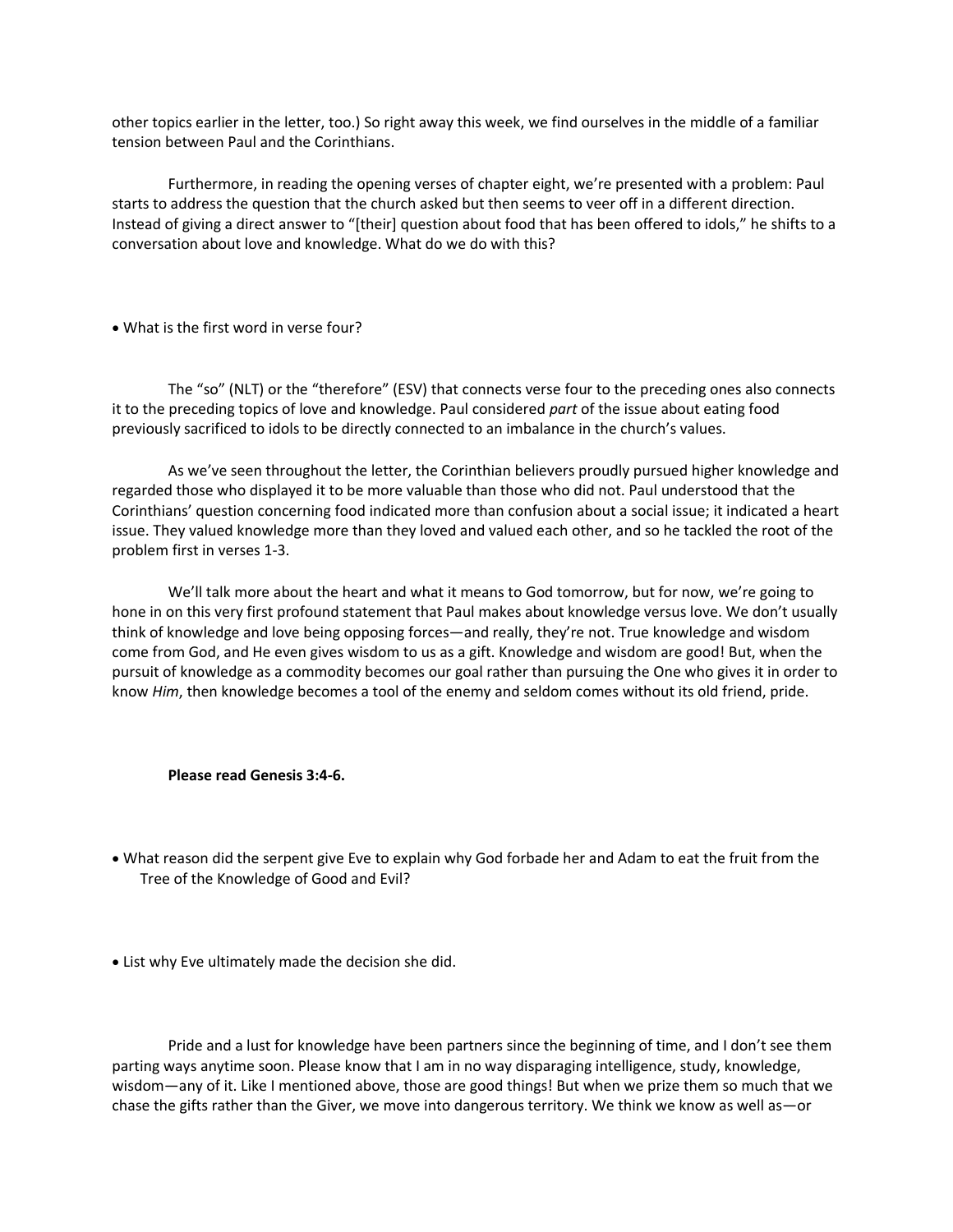other topics earlier in the letter, too.) So right away this week, we find ourselves in the middle of a familiar tension between Paul and the Corinthians.

Furthermore, in reading the opening verses of chapter eight, we're presented with a problem: Paul starts to address the question that the church asked but then seems to veer off in a different direction. Instead of giving a direct answer to "[their] question about food that has been offered to idols," he shifts to a conversation about love and knowledge. What do we do with this?

• What is the first word in verse four?

The "so" (NLT) or the "therefore" (ESV) that connects verse four to the preceding ones also connects it to the preceding topics of love and knowledge. Paul considered *part* of the issue about eating food previously sacrificed to idols to be directly connected to an imbalance in the church's values.

As we've seen throughout the letter, the Corinthian believers proudly pursued higher knowledge and regarded those who displayed it to be more valuable than those who did not. Paul understood that the Corinthians' question concerning food indicated more than confusion about a social issue; it indicated a heart issue. They valued knowledge more than they loved and valued each other, and so he tackled the root of the problem first in verses 1-3.

We'll talk more about the heart and what it means to God tomorrow, but for now, we're going to hone in on this very first profound statement that Paul makes about knowledge versus love. We don't usually think of knowledge and love being opposing forces—and really, they're not. True knowledge and wisdom come from God, and He even gives wisdom to us as a gift. Knowledge and wisdom are good! But, when the pursuit of knowledge as a commodity becomes our goal rather than pursuing the One who gives it in order to know *Him*, then knowledge becomes a tool of the enemy and seldom comes without its old friend, pride.

#### **Please read Genesis 3:4-6.**

- What reason did the serpent give Eve to explain why God forbade her and Adam to eat the fruit from the Tree of the Knowledge of Good and Evil?
- List why Eve ultimately made the decision she did.

Pride and a lust for knowledge have been partners since the beginning of time, and I don't see them parting ways anytime soon. Please know that I am in no way disparaging intelligence, study, knowledge, wisdom—any of it. Like I mentioned above, those are good things! But when we prize them so much that we chase the gifts rather than the Giver, we move into dangerous territory. We think we know as well as—or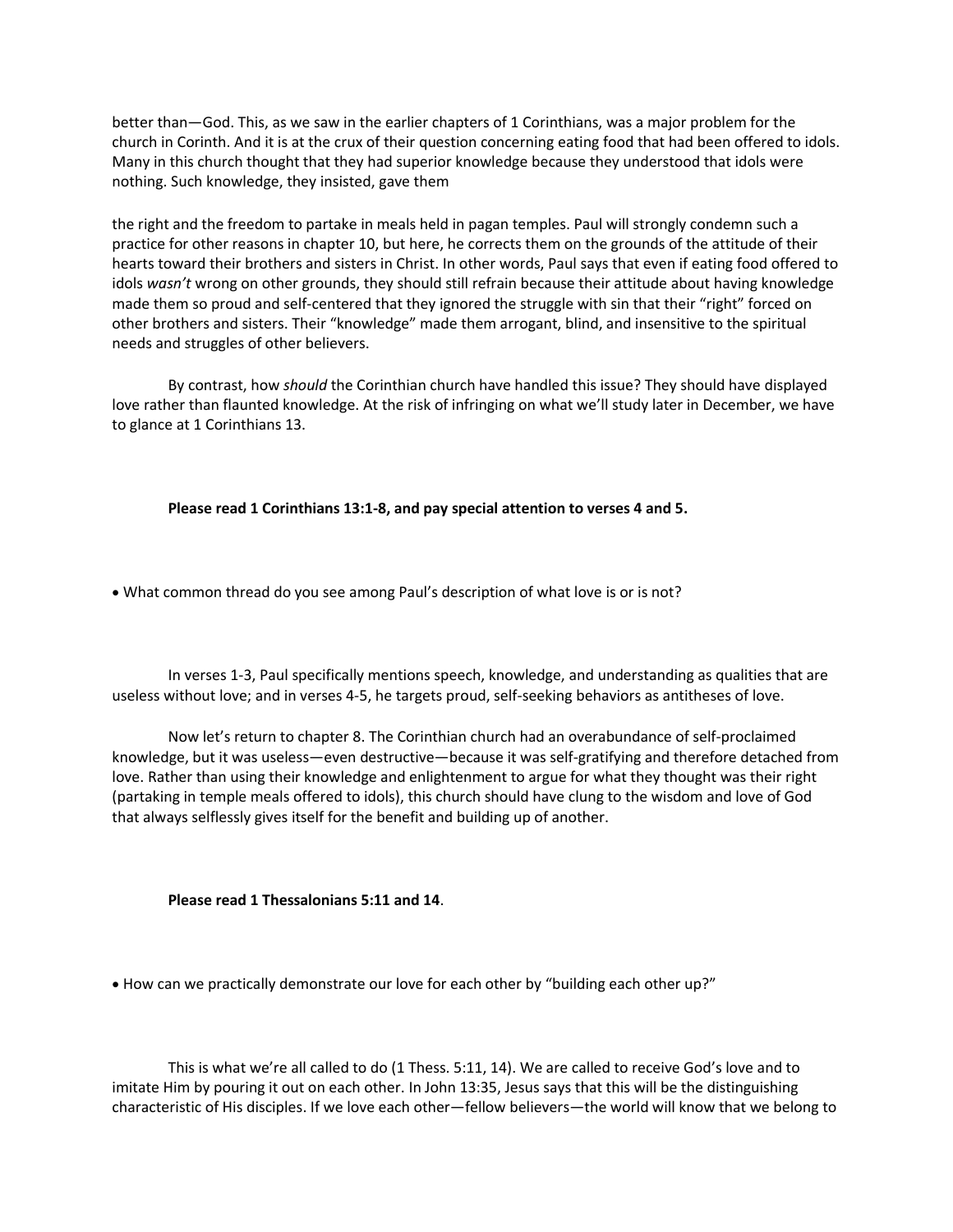better than—God. This, as we saw in the earlier chapters of 1 Corinthians, was a major problem for the church in Corinth. And it is at the crux of their question concerning eating food that had been offered to idols. Many in this church thought that they had superior knowledge because they understood that idols were nothing. Such knowledge, they insisted, gave them

the right and the freedom to partake in meals held in pagan temples. Paul will strongly condemn such a practice for other reasons in chapter 10, but here, he corrects them on the grounds of the attitude of their hearts toward their brothers and sisters in Christ. In other words, Paul says that even if eating food offered to idols *wasn't* wrong on other grounds, they should still refrain because their attitude about having knowledge made them so proud and self-centered that they ignored the struggle with sin that their "right" forced on other brothers and sisters. Their "knowledge" made them arrogant, blind, and insensitive to the spiritual needs and struggles of other believers.

By contrast, how *should* the Corinthian church have handled this issue? They should have displayed love rather than flaunted knowledge. At the risk of infringing on what we'll study later in December, we have to glance at 1 Corinthians 13.

**Please read 1 Corinthians 13:1-8, and pay special attention to verses 4 and 5.**

• What common thread do you see among Paul's description of what love is or is not?

In verses 1-3, Paul specifically mentions speech, knowledge, and understanding as qualities that are useless without love; and in verses 4-5, he targets proud, self-seeking behaviors as antitheses of love.

Now let's return to chapter 8. The Corinthian church had an overabundance of self-proclaimed knowledge, but it was useless—even destructive—because it was self-gratifying and therefore detached from love. Rather than using their knowledge and enlightenment to argue for what they thought was their right (partaking in temple meals offered to idols), this church should have clung to the wisdom and love of God that always selflessly gives itself for the benefit and building up of another.

**Please read 1 Thessalonians 5:11 and 14**.

• How can we practically demonstrate our love for each other by "building each other up?"

This is what we're all called to do (1 Thess. 5:11, 14). We are called to receive God's love and to imitate Him by pouring it out on each other. In John 13:35, Jesus says that this will be the distinguishing characteristic of His disciples. If we love each other—fellow believers—the world will know that we belong to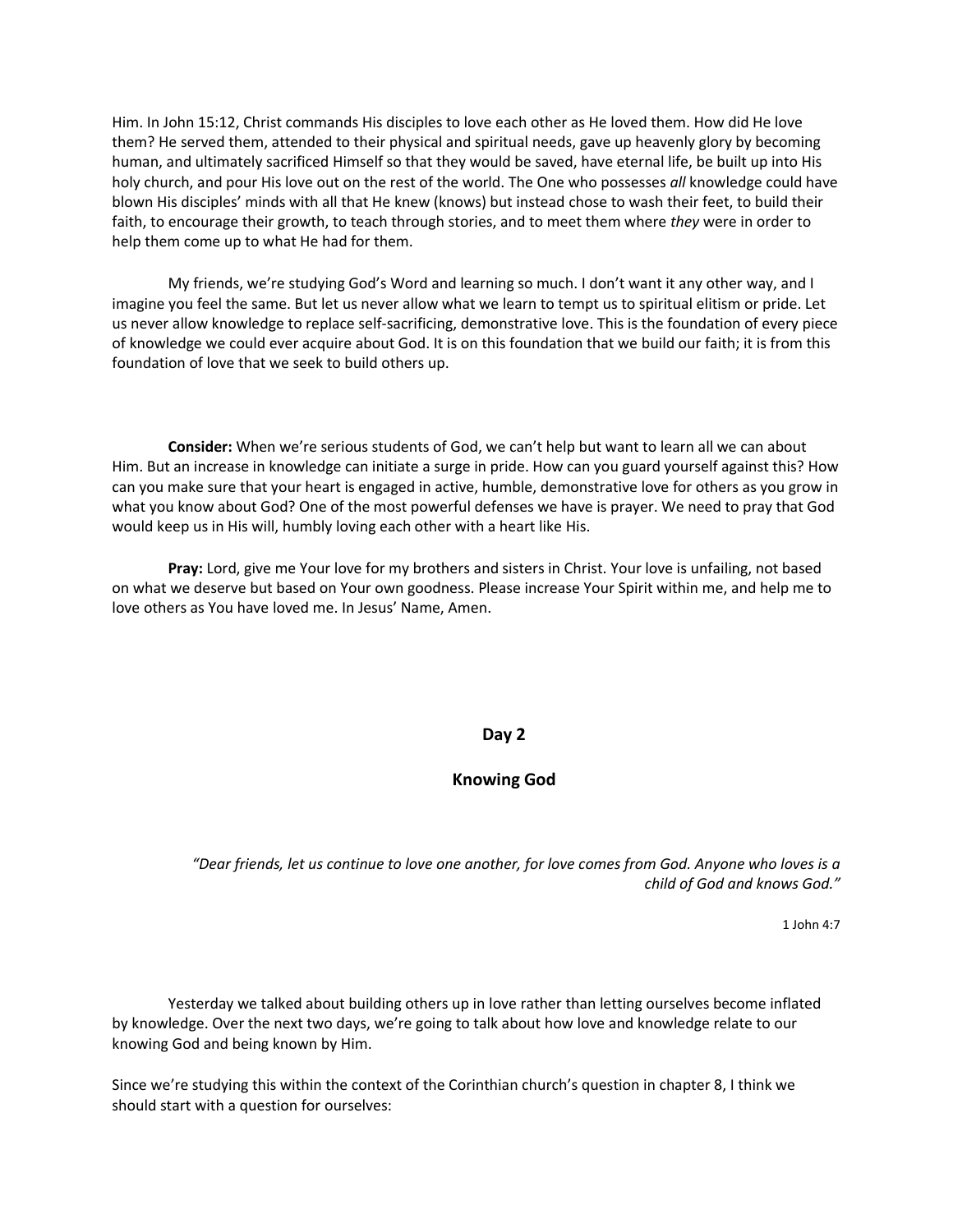Him. In John 15:12, Christ commands His disciples to love each other as He loved them. How did He love them? He served them, attended to their physical and spiritual needs, gave up heavenly glory by becoming human, and ultimately sacrificed Himself so that they would be saved, have eternal life, be built up into His holy church, and pour His love out on the rest of the world. The One who possesses *all* knowledge could have blown His disciples' minds with all that He knew (knows) but instead chose to wash their feet, to build their faith, to encourage their growth, to teach through stories, and to meet them where *they* were in order to help them come up to what He had for them.

My friends, we're studying God's Word and learning so much. I don't want it any other way, and I imagine you feel the same. But let us never allow what we learn to tempt us to spiritual elitism or pride. Let us never allow knowledge to replace self-sacrificing, demonstrative love. This is the foundation of every piece of knowledge we could ever acquire about God. It is on this foundation that we build our faith; it is from this foundation of love that we seek to build others up.

**Consider:** When we're serious students of God, we can't help but want to learn all we can about Him. But an increase in knowledge can initiate a surge in pride. How can you guard yourself against this? How can you make sure that your heart is engaged in active, humble, demonstrative love for others as you grow in what you know about God? One of the most powerful defenses we have is prayer. We need to pray that God would keep us in His will, humbly loving each other with a heart like His.

**Pray:** Lord, give me Your love for my brothers and sisters in Christ. Your love is unfailing, not based on what we deserve but based on Your own goodness. Please increase Your Spirit within me, and help me to love others as You have loved me. In Jesus' Name, Amen.

#### **Day 2**

# **Knowing God**

*"Dear friends, let us continue to love one another, for love comes from God. Anyone who loves is a child of God and knows God."*

1 John 4:7

Yesterday we talked about building others up in love rather than letting ourselves become inflated by knowledge. Over the next two days, we're going to talk about how love and knowledge relate to our knowing God and being known by Him.

Since we're studying this within the context of the Corinthian church's question in chapter 8, I think we should start with a question for ourselves: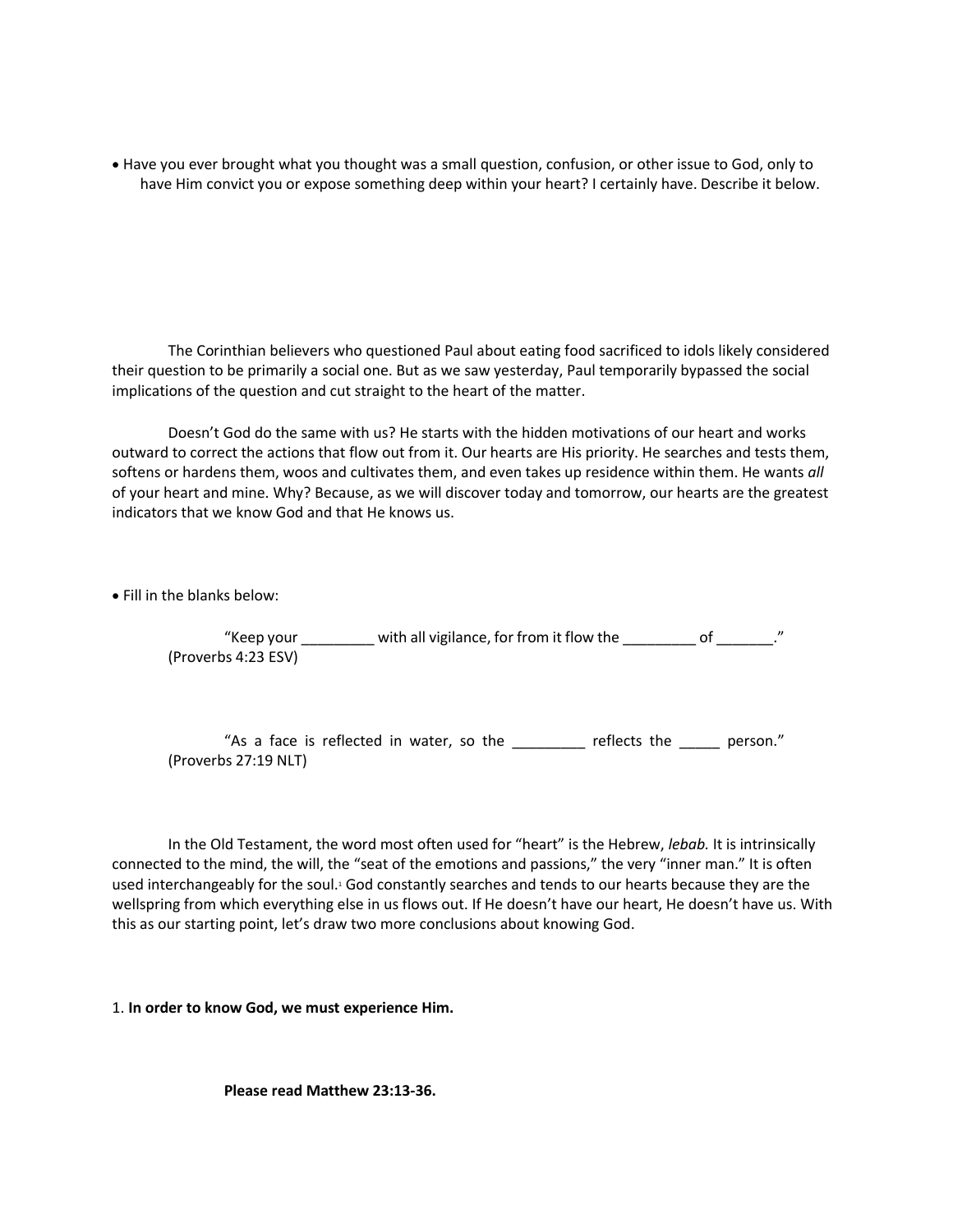• Have you ever brought what you thought was a small question, confusion, or other issue to God, only to have Him convict you or expose something deep within your heart? I certainly have. Describe it below.

The Corinthian believers who questioned Paul about eating food sacrificed to idols likely considered their question to be primarily a social one. But as we saw yesterday, Paul temporarily bypassed the social implications of the question and cut straight to the heart of the matter.

Doesn't God do the same with us? He starts with the hidden motivations of our heart and works outward to correct the actions that flow out from it. Our hearts are His priority. He searches and tests them, softens or hardens them, woos and cultivates them, and even takes up residence within them. He wants *all* of your heart and mine. Why? Because, as we will discover today and tomorrow, our hearts are the greatest indicators that we know God and that He knows us.

• Fill in the blanks below:

"Keep your \_\_\_\_\_\_\_\_\_\_ with all vigilance, for from it flow the \_\_\_\_\_\_\_\_\_\_ of \_\_\_\_\_\_\_." (Proverbs 4:23 ESV)

"As a face is reflected in water, so the \_\_\_\_\_\_\_\_ reflects the \_\_\_\_\_ person." (Proverbs 27:19 NLT)

In the Old Testament, the word most often used for "heart" is the Hebrew, *lebab.* It is intrinsically connected to the mind, the will, the "seat of the emotions and passions," the very "inner man." It is often used interchangeably for the soul.<sup>1</sup> God constantly searches and tends to our hearts because they are the wellspring from which everything else in us flows out. If He doesn't have our heart, He doesn't have us. With this as our starting point, let's draw two more conclusions about knowing God.

1. **In order to know God, we must experience Him.** 

**Please read Matthew 23:13-36.**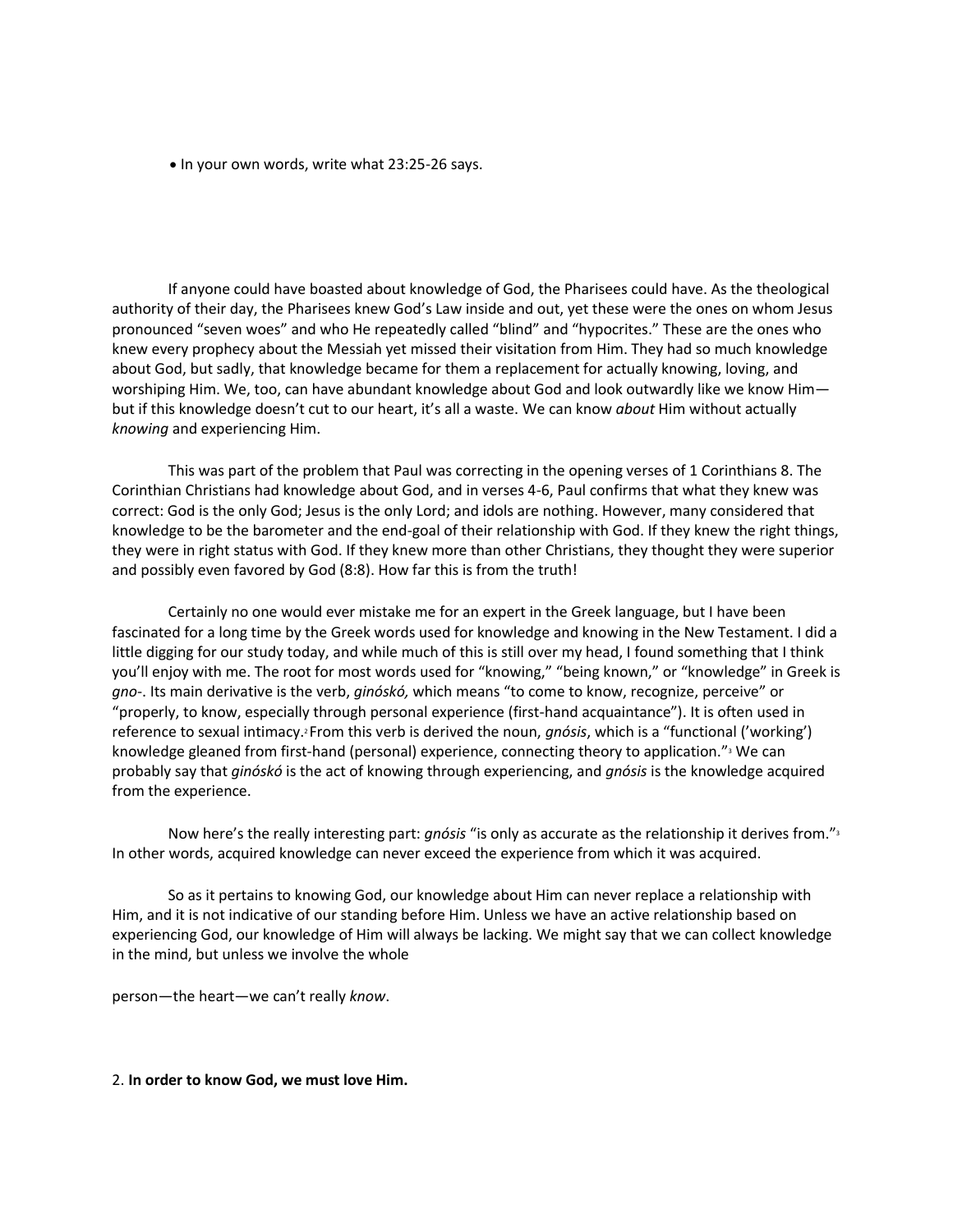• In your own words, write what 23:25-26 says.

If anyone could have boasted about knowledge of God, the Pharisees could have. As the theological authority of their day, the Pharisees knew God's Law inside and out, yet these were the ones on whom Jesus pronounced "seven woes" and who He repeatedly called "blind" and "hypocrites." These are the ones who knew every prophecy about the Messiah yet missed their visitation from Him. They had so much knowledge about God, but sadly, that knowledge became for them a replacement for actually knowing, loving, and worshiping Him. We, too, can have abundant knowledge about God and look outwardly like we know Him but if this knowledge doesn't cut to our heart, it's all a waste. We can know *about* Him without actually *knowing* and experiencing Him.

This was part of the problem that Paul was correcting in the opening verses of 1 Corinthians 8. The Corinthian Christians had knowledge about God, and in verses 4-6, Paul confirms that what they knew was correct: God is the only God; Jesus is the only Lord; and idols are nothing. However, many considered that knowledge to be the barometer and the end-goal of their relationship with God. If they knew the right things, they were in right status with God. If they knew more than other Christians, they thought they were superior and possibly even favored by God (8:8). How far this is from the truth!

Certainly no one would ever mistake me for an expert in the Greek language, but I have been fascinated for a long time by the Greek words used for knowledge and knowing in the New Testament. I did a little digging for our study today, and while much of this is still over my head, I found something that I think you'll enjoy with me. The root for most words used for "knowing," "being known," or "knowledge" in Greek is *gno*-. Its main derivative is the verb, *ginóskó,* which means "to come to know, recognize, perceive" or "properly, to know, especially through personal experience (first-hand acquaintance"). It is often used in reference to sexual intimacy.<sup>2</sup> From this verb is derived the noun, *gnósis*, which is a "functional ('working') knowledge gleaned from first-hand (personal) experience, connecting theory to application."<sup>3</sup> We can probably say that *ginóskó* is the act of knowing through experiencing, and *gnósis* is the knowledge acquired from the experience.

Now here's the really interesting part: *gnósis* "is only as accurate as the relationship it derives from."<sup>3</sup> In other words, acquired knowledge can never exceed the experience from which it was acquired.

So as it pertains to knowing God, our knowledge about Him can never replace a relationship with Him, and it is not indicative of our standing before Him. Unless we have an active relationship based on experiencing God, our knowledge of Him will always be lacking. We might say that we can collect knowledge in the mind, but unless we involve the whole

person—the heart—we can't really *know*.

2. **In order to know God, we must love Him.**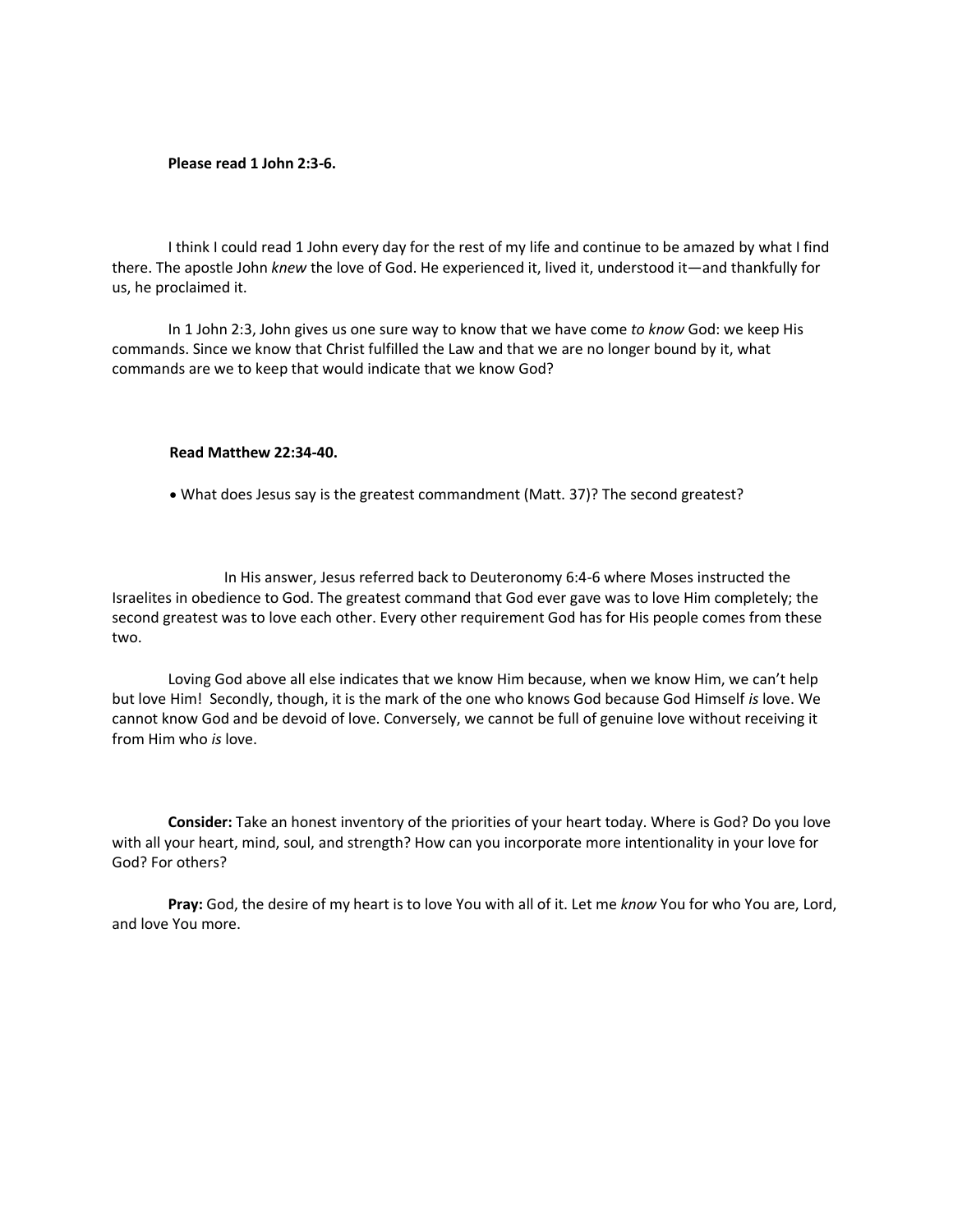#### **Please read 1 John 2:3-6.**

I think I could read 1 John every day for the rest of my life and continue to be amazed by what I find there. The apostle John *knew* the love of God. He experienced it, lived it, understood it—and thankfully for us, he proclaimed it.

In 1 John 2:3, John gives us one sure way to know that we have come *to know* God: we keep His commands. Since we know that Christ fulfilled the Law and that we are no longer bound by it, what commands are we to keep that would indicate that we know God?

#### **Read Matthew 22:34-40.**

• What does Jesus say is the greatest commandment (Matt. 37)? The second greatest?

In His answer, Jesus referred back to Deuteronomy 6:4-6 where Moses instructed the Israelites in obedience to God. The greatest command that God ever gave was to love Him completely; the second greatest was to love each other. Every other requirement God has for His people comes from these two.

Loving God above all else indicates that we know Him because, when we know Him, we can't help but love Him! Secondly, though, it is the mark of the one who knows God because God Himself *is* love. We cannot know God and be devoid of love. Conversely, we cannot be full of genuine love without receiving it from Him who *is* love.

**Consider:** Take an honest inventory of the priorities of your heart today. Where is God? Do you love with all your heart, mind, soul, and strength? How can you incorporate more intentionality in your love for God? For others?

**Pray:** God, the desire of my heart is to love You with all of it. Let me *know* You for who You are, Lord, and love You more.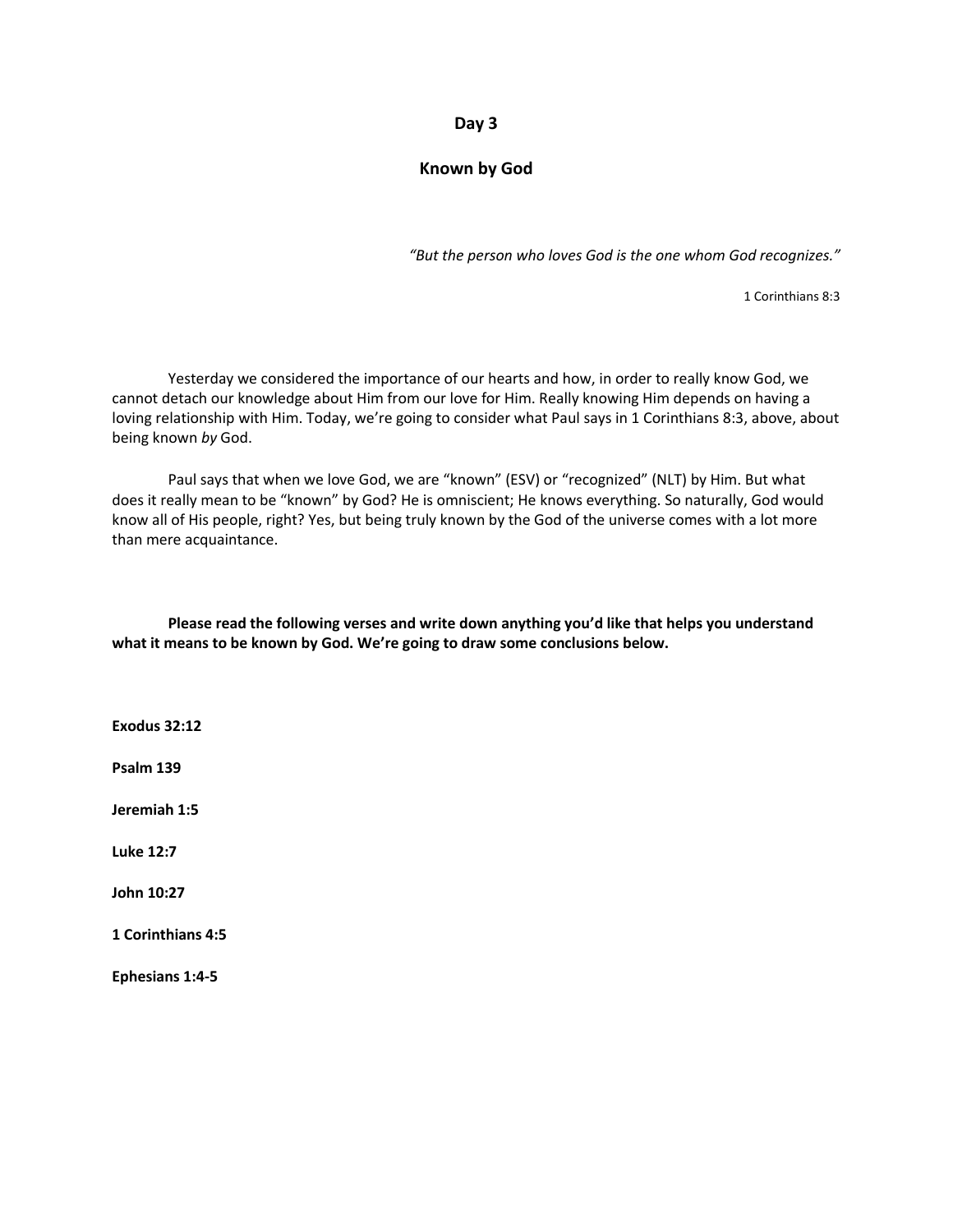### **Day 3**

## **Known by God**

*"But the person who loves God is the one whom God recognizes."*

1 Corinthians 8:3

Yesterday we considered the importance of our hearts and how, in order to really know God, we cannot detach our knowledge about Him from our love for Him. Really knowing Him depends on having a loving relationship with Him. Today, we're going to consider what Paul says in 1 Corinthians 8:3, above, about being known *by* God.

Paul says that when we love God, we are "known" (ESV) or "recognized" (NLT) by Him. But what does it really mean to be "known" by God? He is omniscient; He knows everything. So naturally, God would know all of His people, right? Yes, but being truly known by the God of the universe comes with a lot more than mere acquaintance.

**Please read the following verses and write down anything you'd like that helps you understand what it means to be known by God. We're going to draw some conclusions below.** 

**Exodus 32:12**

**Psalm 139**

**Jeremiah 1:5**

**Luke 12:7**

**John 10:27**

**1 Corinthians 4:5**

**Ephesians 1:4-5**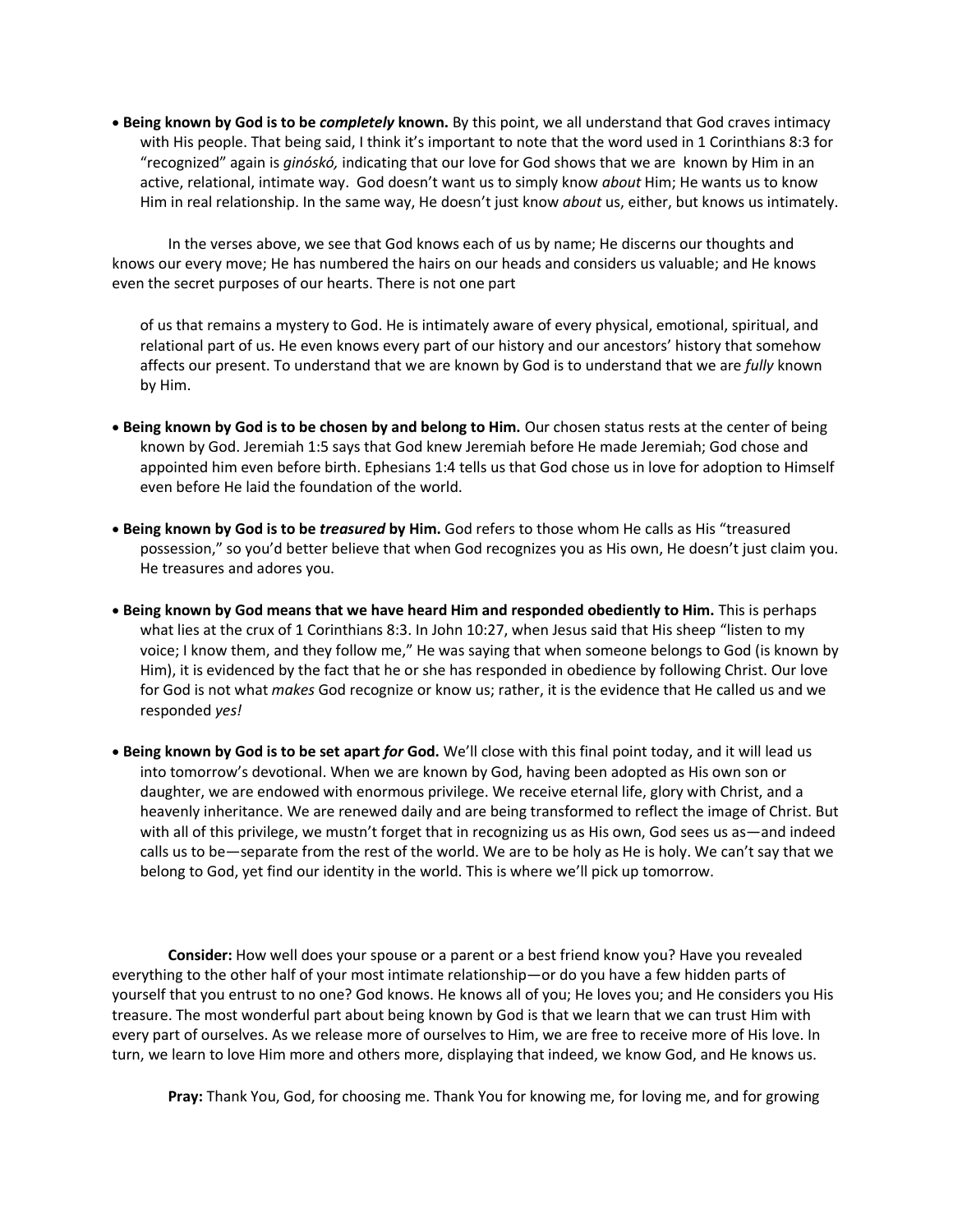• **Being known by God is to be** *completely* **known.** By this point, we all understand that God craves intimacy with His people. That being said, I think it's important to note that the word used in 1 Corinthians 8:3 for "recognized" again is *ginóskó,* indicating that our love for God shows that we are known by Him in an active, relational, intimate way. God doesn't want us to simply know *about* Him; He wants us to know Him in real relationship. In the same way, He doesn't just know *about* us, either, but knows us intimately.

In the verses above, we see that God knows each of us by name; He discerns our thoughts and knows our every move; He has numbered the hairs on our heads and considers us valuable; and He knows even the secret purposes of our hearts. There is not one part

of us that remains a mystery to God. He is intimately aware of every physical, emotional, spiritual, and relational part of us. He even knows every part of our history and our ancestors' history that somehow affects our present. To understand that we are known by God is to understand that we are *fully* known by Him.

- **Being known by God is to be chosen by and belong to Him.** Our chosen status rests at the center of being known by God. Jeremiah 1:5 says that God knew Jeremiah before He made Jeremiah; God chose and appointed him even before birth. Ephesians 1:4 tells us that God chose us in love for adoption to Himself even before He laid the foundation of the world.
- **Being known by God is to be** *treasured* **by Him.** God refers to those whom He calls as His "treasured possession," so you'd better believe that when God recognizes you as His own, He doesn't just claim you. He treasures and adores you.
- **Being known by God means that we have heard Him and responded obediently to Him.** This is perhaps what lies at the crux of 1 Corinthians 8:3. In John 10:27, when Jesus said that His sheep "listen to my voice; I know them, and they follow me," He was saying that when someone belongs to God (is known by Him), it is evidenced by the fact that he or she has responded in obedience by following Christ. Our love for God is not what *makes* God recognize or know us; rather, it is the evidence that He called us and we responded *yes!*
- **Being known by God is to be set apart** *for* **God.** We'll close with this final point today, and it will lead us into tomorrow's devotional. When we are known by God, having been adopted as His own son or daughter, we are endowed with enormous privilege. We receive eternal life, glory with Christ, and a heavenly inheritance. We are renewed daily and are being transformed to reflect the image of Christ. But with all of this privilege, we mustn't forget that in recognizing us as His own, God sees us as—and indeed calls us to be—separate from the rest of the world. We are to be holy as He is holy. We can't say that we belong to God, yet find our identity in the world. This is where we'll pick up tomorrow.

**Consider:** How well does your spouse or a parent or a best friend know you? Have you revealed everything to the other half of your most intimate relationship—or do you have a few hidden parts of yourself that you entrust to no one? God knows. He knows all of you; He loves you; and He considers you His treasure. The most wonderful part about being known by God is that we learn that we can trust Him with every part of ourselves. As we release more of ourselves to Him, we are free to receive more of His love. In turn, we learn to love Him more and others more, displaying that indeed, we know God, and He knows us.

**Pray:** Thank You, God, for choosing me. Thank You for knowing me, for loving me, and for growing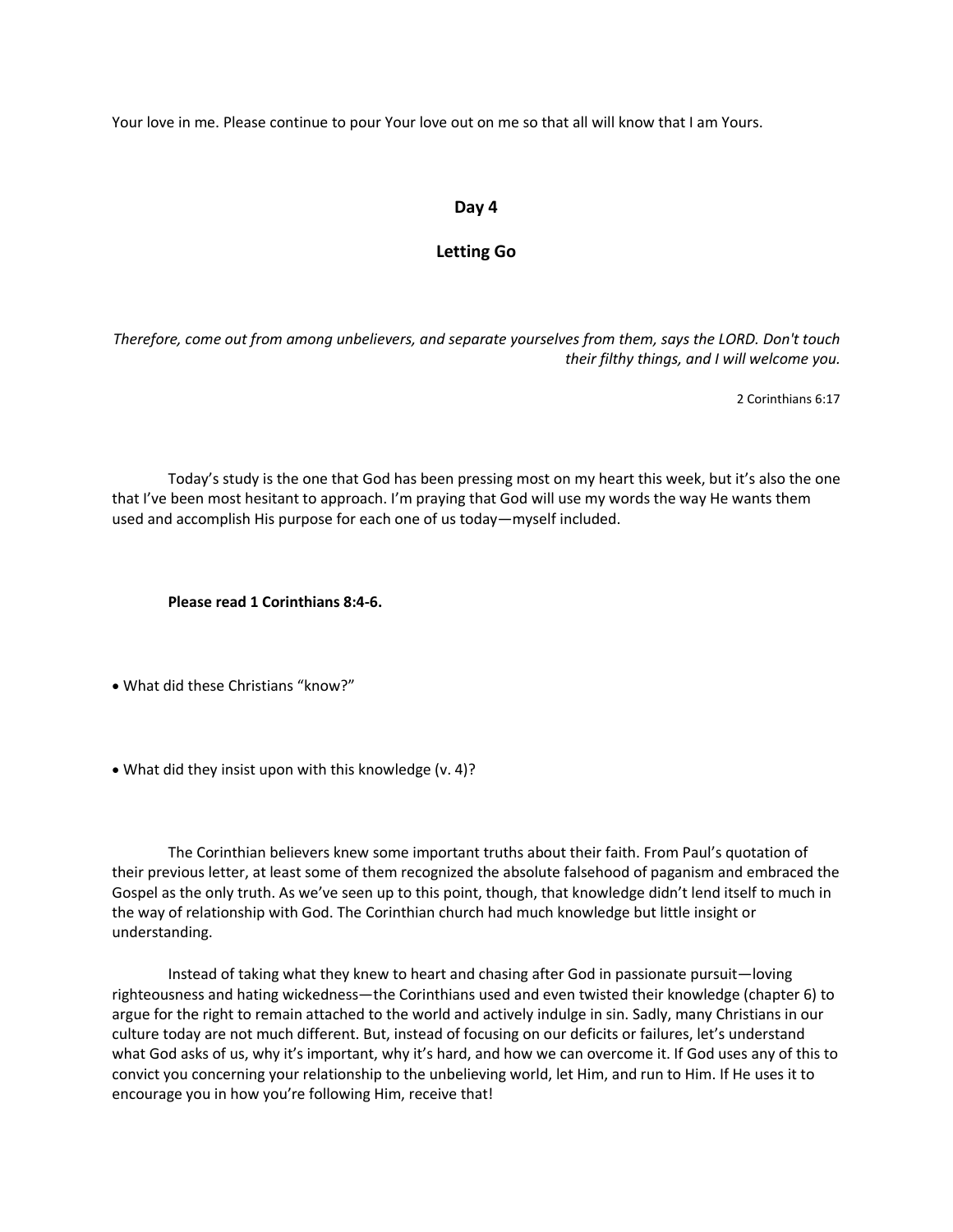Your love in me. Please continue to pour Your love out on me so that all will know that I am Yours.

# **Day 4**

# **Letting Go**

*Therefore, come out from among unbelievers, and separate yourselves from them, says the LORD. Don't touch their filthy things, and I will welcome you.* 

2 Corinthians 6:17

Today's study is the one that God has been pressing most on my heart this week, but it's also the one that I've been most hesitant to approach. I'm praying that God will use my words the way He wants them used and accomplish His purpose for each one of us today—myself included.

**Please read 1 Corinthians 8:4-6.**

• What did these Christians "know?"

• What did they insist upon with this knowledge (v. 4)?

The Corinthian believers knew some important truths about their faith. From Paul's quotation of their previous letter, at least some of them recognized the absolute falsehood of paganism and embraced the Gospel as the only truth. As we've seen up to this point, though, that knowledge didn't lend itself to much in the way of relationship with God. The Corinthian church had much knowledge but little insight or understanding.

Instead of taking what they knew to heart and chasing after God in passionate pursuit—loving righteousness and hating wickedness—the Corinthians used and even twisted their knowledge (chapter 6) to argue for the right to remain attached to the world and actively indulge in sin. Sadly, many Christians in our culture today are not much different. But, instead of focusing on our deficits or failures, let's understand what God asks of us, why it's important, why it's hard, and how we can overcome it. If God uses any of this to convict you concerning your relationship to the unbelieving world, let Him, and run to Him. If He uses it to encourage you in how you're following Him, receive that!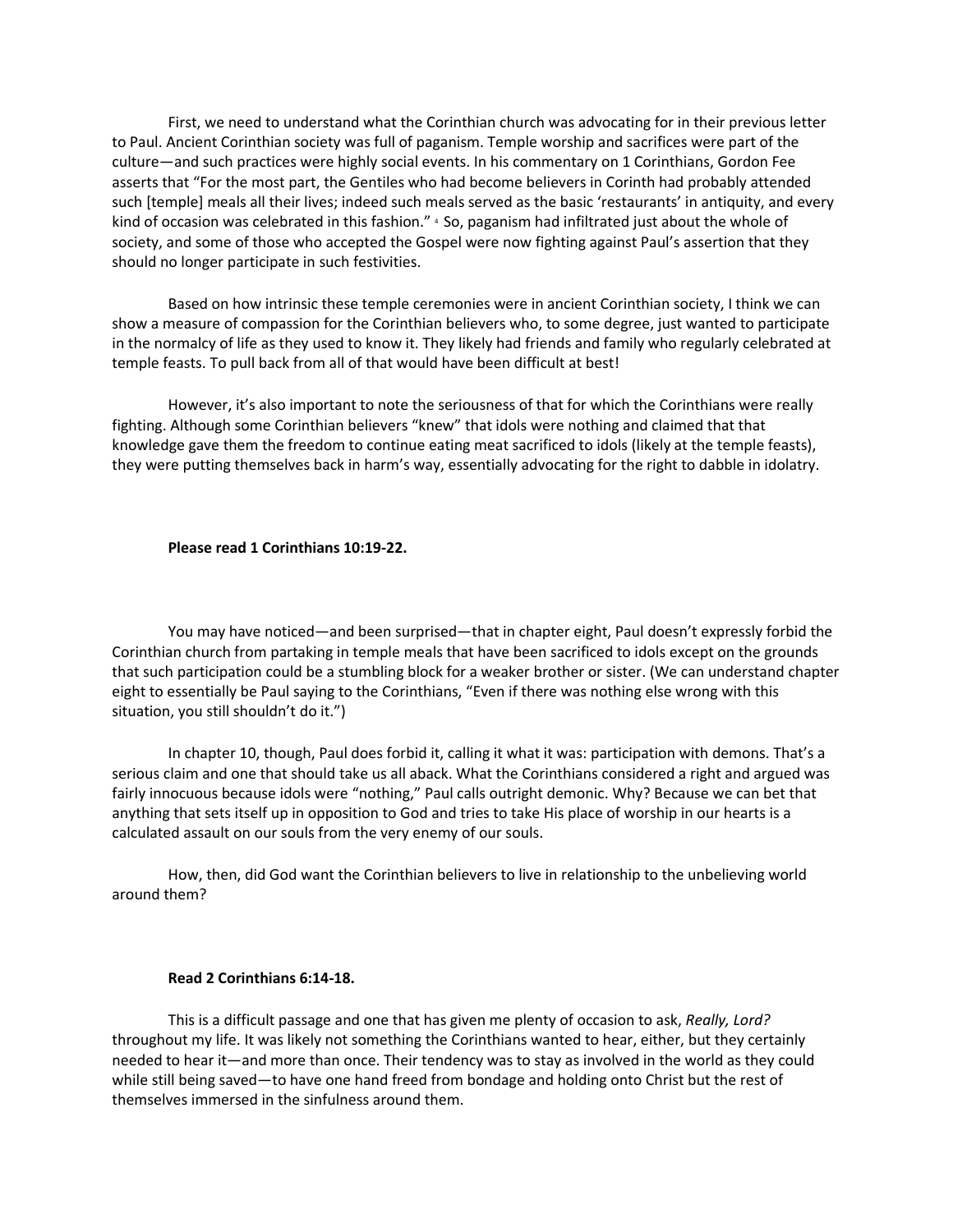First, we need to understand what the Corinthian church was advocating for in their previous letter to Paul. Ancient Corinthian society was full of paganism. Temple worship and sacrifices were part of the culture—and such practices were highly social events. In his commentary on 1 Corinthians, Gordon Fee asserts that "For the most part, the Gentiles who had become believers in Corinth had probably attended such [temple] meals all their lives; indeed such meals served as the basic 'restaurants' in antiquity, and every kind of occasion was celebrated in this fashion." 4 So, paganism had infiltrated just about the whole of society, and some of those who accepted the Gospel were now fighting against Paul's assertion that they should no longer participate in such festivities.

Based on how intrinsic these temple ceremonies were in ancient Corinthian society, I think we can show a measure of compassion for the Corinthian believers who, to some degree, just wanted to participate in the normalcy of life as they used to know it. They likely had friends and family who regularly celebrated at temple feasts. To pull back from all of that would have been difficult at best!

However, it's also important to note the seriousness of that for which the Corinthians were really fighting. Although some Corinthian believers "knew" that idols were nothing and claimed that that knowledge gave them the freedom to continue eating meat sacrificed to idols (likely at the temple feasts), they were putting themselves back in harm's way, essentially advocating for the right to dabble in idolatry.

#### **Please read 1 Corinthians 10:19-22.**

You may have noticed—and been surprised—that in chapter eight, Paul doesn't expressly forbid the Corinthian church from partaking in temple meals that have been sacrificed to idols except on the grounds that such participation could be a stumbling block for a weaker brother or sister. (We can understand chapter eight to essentially be Paul saying to the Corinthians, "Even if there was nothing else wrong with this situation, you still shouldn't do it.")

In chapter 10, though, Paul does forbid it, calling it what it was: participation with demons. That's a serious claim and one that should take us all aback. What the Corinthians considered a right and argued was fairly innocuous because idols were "nothing," Paul calls outright demonic. Why? Because we can bet that anything that sets itself up in opposition to God and tries to take His place of worship in our hearts is a calculated assault on our souls from the very enemy of our souls.

How, then, did God want the Corinthian believers to live in relationship to the unbelieving world around them?

#### **Read 2 Corinthians 6:14-18.**

This is a difficult passage and one that has given me plenty of occasion to ask, *Really, Lord?* throughout my life. It was likely not something the Corinthians wanted to hear, either, but they certainly needed to hear it—and more than once. Their tendency was to stay as involved in the world as they could while still being saved—to have one hand freed from bondage and holding onto Christ but the rest of themselves immersed in the sinfulness around them.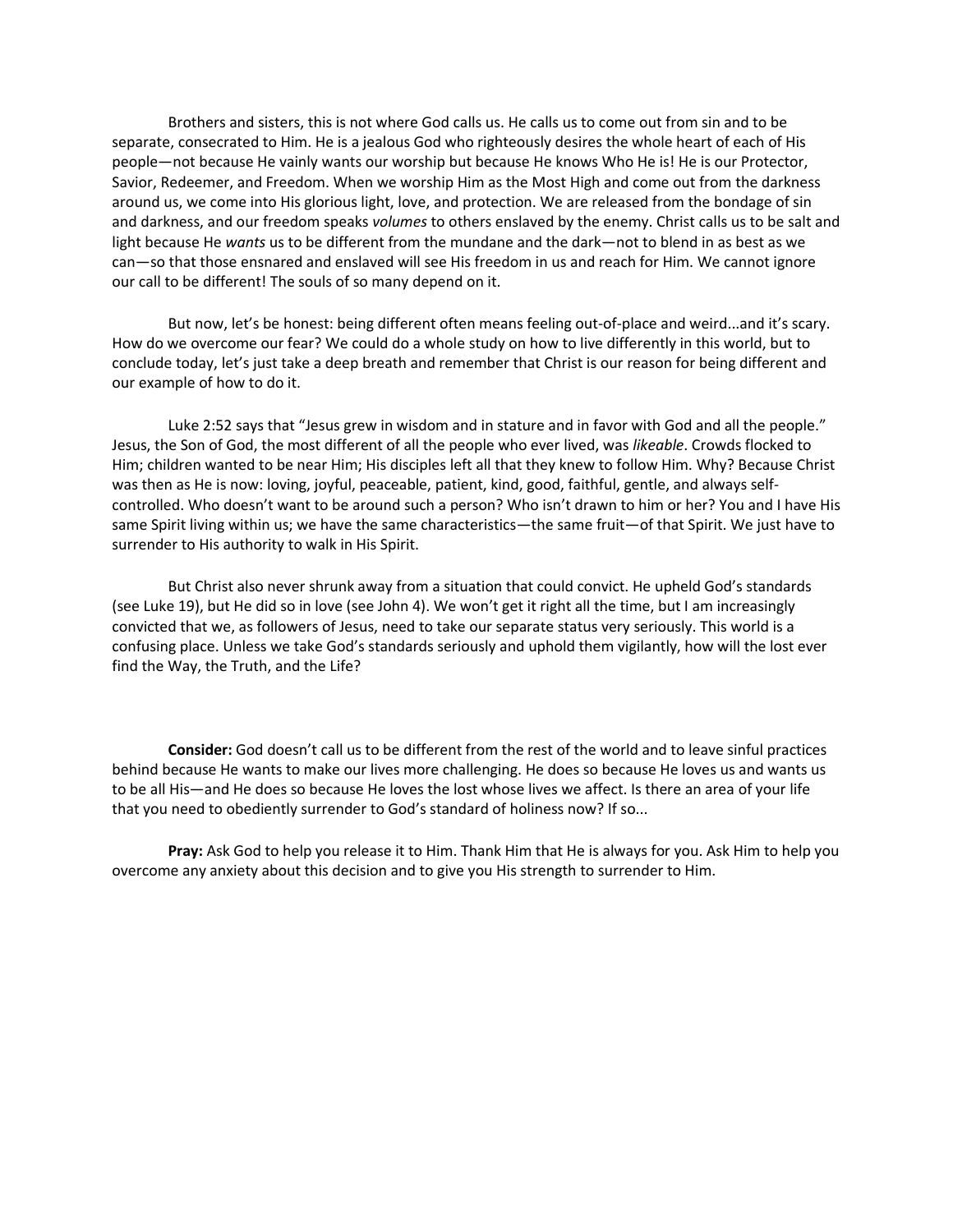Brothers and sisters, this is not where God calls us. He calls us to come out from sin and to be separate, consecrated to Him. He is a jealous God who righteously desires the whole heart of each of His people—not because He vainly wants our worship but because He knows Who He is! He is our Protector, Savior, Redeemer, and Freedom. When we worship Him as the Most High and come out from the darkness around us, we come into His glorious light, love, and protection. We are released from the bondage of sin and darkness, and our freedom speaks *volumes* to others enslaved by the enemy. Christ calls us to be salt and light because He *wants* us to be different from the mundane and the dark—not to blend in as best as we can—so that those ensnared and enslaved will see His freedom in us and reach for Him. We cannot ignore our call to be different! The souls of so many depend on it.

But now, let's be honest: being different often means feeling out-of-place and weird...and it's scary. How do we overcome our fear? We could do a whole study on how to live differently in this world, but to conclude today, let's just take a deep breath and remember that Christ is our reason for being different and our example of how to do it.

Luke 2:52 says that "Jesus grew in wisdom and in stature and in favor with God and all the people." Jesus, the Son of God, the most different of all the people who ever lived, was *likeable*. Crowds flocked to Him; children wanted to be near Him; His disciples left all that they knew to follow Him. Why? Because Christ was then as He is now: loving, joyful, peaceable, patient, kind, good, faithful, gentle, and always selfcontrolled. Who doesn't want to be around such a person? Who isn't drawn to him or her? You and I have His same Spirit living within us; we have the same characteristics—the same fruit—of that Spirit. We just have to surrender to His authority to walk in His Spirit.

But Christ also never shrunk away from a situation that could convict. He upheld God's standards (see Luke 19), but He did so in love (see John 4). We won't get it right all the time, but I am increasingly convicted that we, as followers of Jesus, need to take our separate status very seriously. This world is a confusing place. Unless we take God's standards seriously and uphold them vigilantly, how will the lost ever find the Way, the Truth, and the Life?

**Consider:** God doesn't call us to be different from the rest of the world and to leave sinful practices behind because He wants to make our lives more challenging. He does so because He loves us and wants us to be all His—and He does so because He loves the lost whose lives we affect. Is there an area of your life that you need to obediently surrender to God's standard of holiness now? If so...

**Pray:** Ask God to help you release it to Him. Thank Him that He is always for you. Ask Him to help you overcome any anxiety about this decision and to give you His strength to surrender to Him.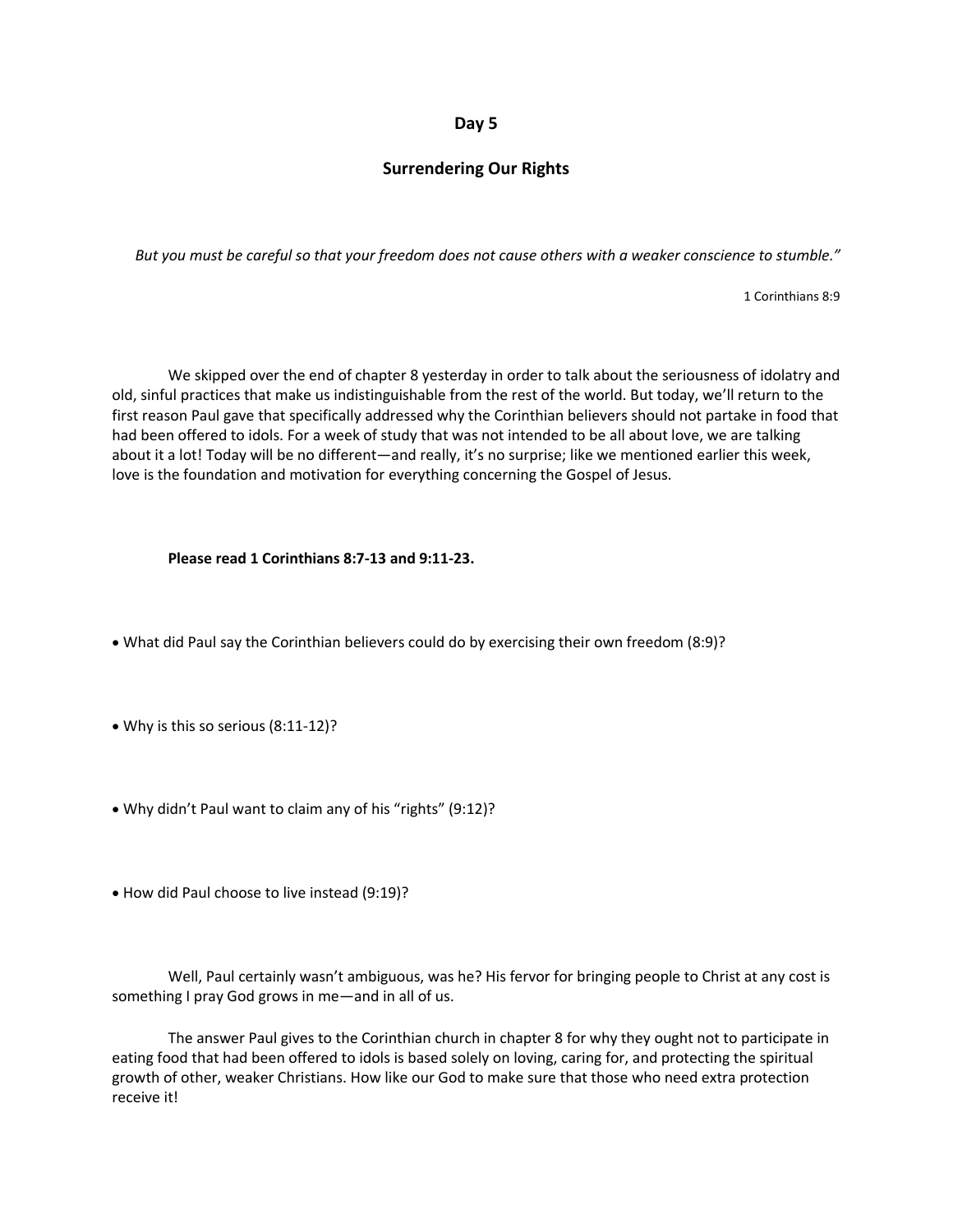# **Day 5**

# **Surrendering Our Rights**

*But you must be careful so that your freedom does not cause others with a weaker conscience to stumble."*

1 Corinthians 8:9

We skipped over the end of chapter 8 yesterday in order to talk about the seriousness of idolatry and old, sinful practices that make us indistinguishable from the rest of the world. But today, we'll return to the first reason Paul gave that specifically addressed why the Corinthian believers should not partake in food that had been offered to idols. For a week of study that was not intended to be all about love, we are talking about it a lot! Today will be no different—and really, it's no surprise; like we mentioned earlier this week, love is the foundation and motivation for everything concerning the Gospel of Jesus.

#### **Please read 1 Corinthians 8:7-13 and 9:11-23.**

- What did Paul say the Corinthian believers could do by exercising their own freedom (8:9)?
- Why is this so serious (8:11-12)?
- Why didn't Paul want to claim any of his "rights" (9:12)?
- How did Paul choose to live instead (9:19)?

Well, Paul certainly wasn't ambiguous, was he? His fervor for bringing people to Christ at any cost is something I pray God grows in me—and in all of us.

The answer Paul gives to the Corinthian church in chapter 8 for why they ought not to participate in eating food that had been offered to idols is based solely on loving, caring for, and protecting the spiritual growth of other, weaker Christians. How like our God to make sure that those who need extra protection receive it!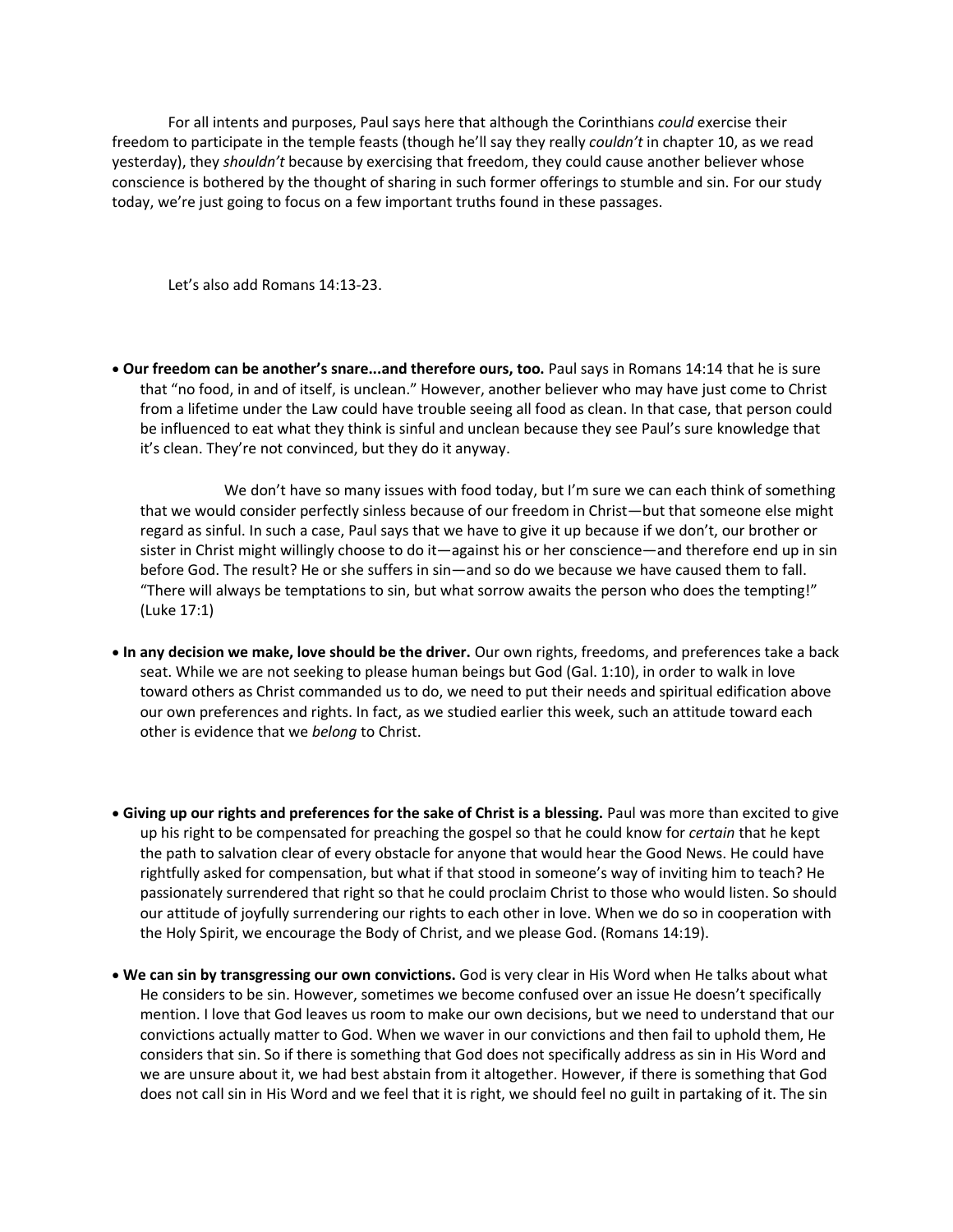For all intents and purposes, Paul says here that although the Corinthians *could* exercise their freedom to participate in the temple feasts (though he'll say they really *couldn't* in chapter 10, as we read yesterday), they *shouldn't* because by exercising that freedom, they could cause another believer whose conscience is bothered by the thought of sharing in such former offerings to stumble and sin. For our study today, we're just going to focus on a few important truths found in these passages.

Let's also add Romans 14:13-23.

• **Our freedom can be another's snare...and therefore ours, too.** Paul says in Romans 14:14 that he is sure that "no food, in and of itself, is unclean." However, another believer who may have just come to Christ from a lifetime under the Law could have trouble seeing all food as clean. In that case, that person could be influenced to eat what they think is sinful and unclean because they see Paul's sure knowledge that it's clean. They're not convinced, but they do it anyway.

We don't have so many issues with food today, but I'm sure we can each think of something that we would consider perfectly sinless because of our freedom in Christ—but that someone else might regard as sinful. In such a case, Paul says that we have to give it up because if we don't, our brother or sister in Christ might willingly choose to do it—against his or her conscience—and therefore end up in sin before God. The result? He or she suffers in sin—and so do we because we have caused them to fall. "There will always be temptations to sin, but what sorrow awaits the person who does the tempting!" (Luke 17:1)

- **In any decision we make, love should be the driver.** Our own rights, freedoms, and preferences take a back seat. While we are not seeking to please human beings but God (Gal. 1:10), in order to walk in love toward others as Christ commanded us to do, we need to put their needs and spiritual edification above our own preferences and rights. In fact, as we studied earlier this week, such an attitude toward each other is evidence that we *belong* to Christ.
- **Giving up our rights and preferences for the sake of Christ is a blessing.** Paul was more than excited to give up his right to be compensated for preaching the gospel so that he could know for *certain* that he kept the path to salvation clear of every obstacle for anyone that would hear the Good News. He could have rightfully asked for compensation, but what if that stood in someone's way of inviting him to teach? He passionately surrendered that right so that he could proclaim Christ to those who would listen. So should our attitude of joyfully surrendering our rights to each other in love. When we do so in cooperation with the Holy Spirit, we encourage the Body of Christ, and we please God. (Romans 14:19).
- **We can sin by transgressing our own convictions.** God is very clear in His Word when He talks about what He considers to be sin. However, sometimes we become confused over an issue He doesn't specifically mention. I love that God leaves us room to make our own decisions, but we need to understand that our convictions actually matter to God. When we waver in our convictions and then fail to uphold them, He considers that sin. So if there is something that God does not specifically address as sin in His Word and we are unsure about it, we had best abstain from it altogether. However, if there is something that God does not call sin in His Word and we feel that it is right, we should feel no guilt in partaking of it. The sin